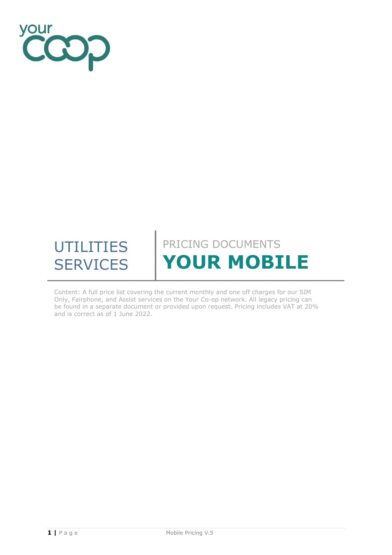

# UTILITIES **SERVICES** PRICING DOCUMENTS **YOUR MOBILE**

Content: A full price list covering the current monthly and one off charges for our SIM Only, Fairphone, and Assist services on the Your Co-op network. All legacy pricing can be found in a separate document or provided upon request. Pricing includes VAT at 20% and is correct as of 1 June 2022.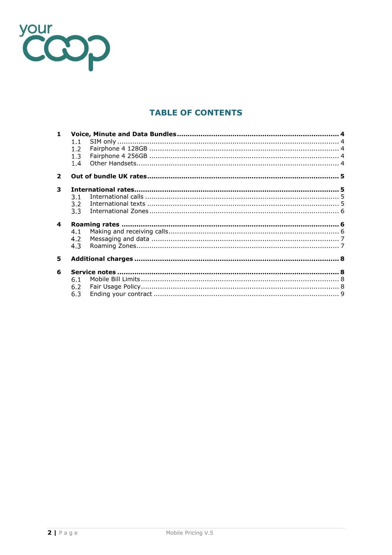

## **TABLE OF CONTENTS**

| $1 -$        |     |  |
|--------------|-----|--|
|              | 1.1 |  |
|              | 1.2 |  |
|              | 1.3 |  |
|              | 1.4 |  |
| $\mathbf{2}$ |     |  |
| 3            |     |  |
|              | 3.1 |  |
|              | 3.2 |  |
|              | 3.3 |  |
| 4            |     |  |
|              | 4.1 |  |
|              | 4.2 |  |
|              | 4.3 |  |
| 5            |     |  |
|              |     |  |
| 6            |     |  |
|              | 6.1 |  |
|              | 6.2 |  |
|              | 6.3 |  |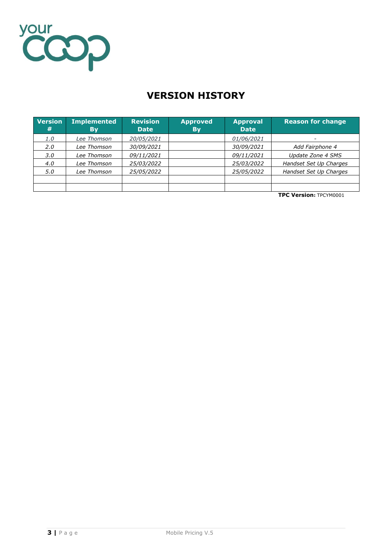

# **VERSION HISTORY**

| <b>Version</b><br># | <b>Implemented</b><br><b>By</b> | <b>Revision</b><br><b>Date</b> | <b>Approved</b><br><b>By</b> | <b>Approval</b><br><b>Date</b> | <b>Reason for change</b> |
|---------------------|---------------------------------|--------------------------------|------------------------------|--------------------------------|--------------------------|
| 1.0                 | Lee Thomson                     | 20/05/2021                     |                              | 01/06/2021                     |                          |
| 2.0                 | Lee Thomson                     | 30/09/2021                     |                              | 30/09/2021                     | Add Fairphone 4          |
| 3.0                 | Lee Thomson                     | 09/11/2021                     |                              | 09/11/2021                     | <b>Update Zone 4 SMS</b> |
| 4.0                 | Lee Thomson                     | 25/03/2022                     |                              | 25/03/2022                     | Handset Set Up Charges   |
| 5.0                 | Lee Thomson                     | 25/05/2022                     |                              | 25/05/2022                     | Handset Set Up Charges   |
|                     |                                 |                                |                              |                                |                          |
|                     |                                 |                                |                              |                                |                          |

**TPC Version:** TPCYM0001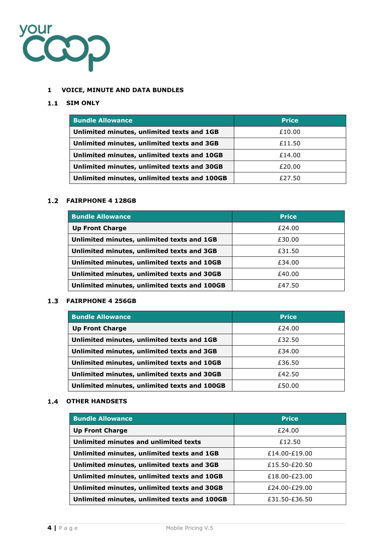

## <span id="page-3-0"></span>**1 VOICE, MINUTE AND DATA BUNDLES**

## <span id="page-3-1"></span>**SIM ONLY**

| <b>Bundle Allowance</b>                      | <b>Price</b> |
|----------------------------------------------|--------------|
| Unlimited minutes, unlimited texts and 1GB   | £10.00       |
| Unlimited minutes, unlimited texts and 3GB   | £11.50       |
| Unlimited minutes, unlimited texts and 10GB  | £14.00       |
| Unlimited minutes, unlimited texts and 30GB  | £20.00       |
| Unlimited minutes, unlimited texts and 100GB | £27.50       |

## <span id="page-3-2"></span>**FAIRPHONE 4 128GB**

| <b>Bundle Allowance</b>                      | <b>Price</b> |
|----------------------------------------------|--------------|
| <b>Up Front Charge</b>                       | £24.00       |
| Unlimited minutes, unlimited texts and 1GB   | £30.00       |
| Unlimited minutes, unlimited texts and 3GB   | £31.50       |
| Unlimited minutes, unlimited texts and 10GB  | £34.00       |
| Unlimited minutes, unlimited texts and 30GB  | £40.00       |
| Unlimited minutes, unlimited texts and 100GB | £47.50       |

## <span id="page-3-3"></span>**FAIRPHONE 4 256GB**

| <b>Bundle Allowance</b>                      | <b>Price</b> |
|----------------------------------------------|--------------|
| <b>Up Front Charge</b>                       | £24.00       |
| Unlimited minutes, unlimited texts and 1GB   | £32.50       |
| Unlimited minutes, unlimited texts and 3GB   | £34.00       |
| Unlimited minutes, unlimited texts and 10GB  | £36.50       |
| Unlimited minutes, unlimited texts and 30GB  | £42.50       |
| Unlimited minutes, unlimited texts and 100GB | £50.00       |

## <span id="page-3-4"></span>**1.4 OTHER HANDSETS**

| <b>Bundle Allowance</b>                      | <b>Price</b>  |
|----------------------------------------------|---------------|
| <b>Up Front Charge</b>                       | £24.00        |
| Unlimited minutes and unlimited texts        | £12.50        |
| Unlimited minutes, unlimited texts and 1GB   | £14.00-£19.00 |
| Unlimited minutes, unlimited texts and 3GB   | £15.50-£20.50 |
| Unlimited minutes, unlimited texts and 10GB  | £18.00-£23.00 |
| Unlimited minutes, unlimited texts and 30GB  | £24.00-£29.00 |
| Unlimited minutes, unlimited texts and 100GB | £31.50-£36.50 |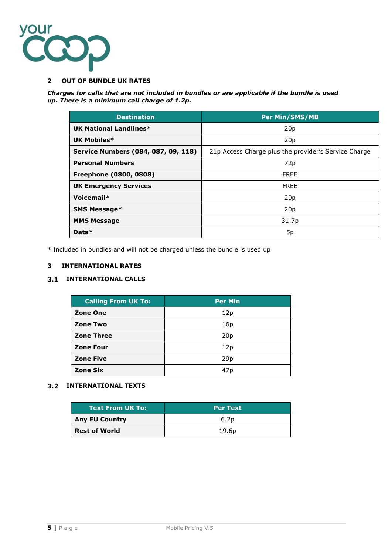

#### <span id="page-4-0"></span>**2 OUT OF BUNDLE UK RATES**

*Charges for calls that are not included in bundles or are applicable if the bundle is used up. There is a minimum call charge of 1.2p.*

| <b>Destination</b>                  | <b>Per Min/SMS/MB</b>                                |  |
|-------------------------------------|------------------------------------------------------|--|
| <b>UK National Landlines*</b>       | 20 <sub>p</sub>                                      |  |
| UK Mobiles*                         | 20p                                                  |  |
| Service Numbers (084, 087, 09, 118) | 21p Access Charge plus the provider's Service Charge |  |
| <b>Personal Numbers</b>             | 72p                                                  |  |
| Freephone (0800, 0808)              | <b>FREE</b>                                          |  |
| <b>UK Emergency Services</b>        | <b>FREE</b>                                          |  |
| Voicemail*                          | 20 <sub>p</sub>                                      |  |
| <b>SMS Message*</b>                 | 20p                                                  |  |
| <b>MMS Message</b>                  | 31.7p                                                |  |
| Data*                               | 5p                                                   |  |

<span id="page-4-1"></span>\* Included in bundles and will not be charged unless the bundle is used up

#### **3 INTERNATIONAL RATES**

## <span id="page-4-2"></span>**3.1 INTERNATIONAL CALLS**

| <b>Calling From UK To:</b> | <b>Per Min</b>  |
|----------------------------|-----------------|
| <b>Zone One</b>            | 12p             |
| <b>Zone Two</b>            | 16 <sub>p</sub> |
| <b>Zone Three</b>          | 20p             |
| <b>Zone Four</b>           | 12p             |
| <b>Zone Five</b>           | 29p             |
| <b>Zone Six</b>            | 47p             |

## <span id="page-4-3"></span>**3.2 INTERNATIONAL TEXTS**

| <b>Text From UK To:</b> | <b>Per Text</b>   |
|-------------------------|-------------------|
| <b>Any EU Country</b>   | 6.2p              |
| <b>Rest of World</b>    | 19.6 <sub>p</sub> |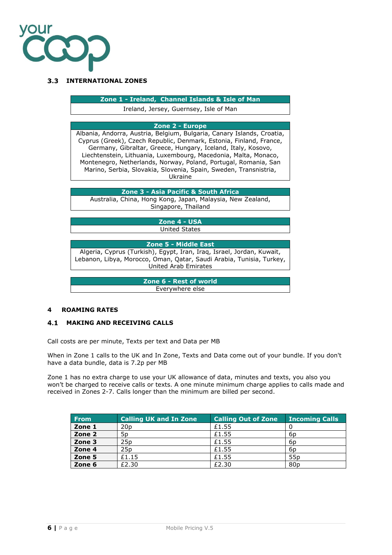

#### <span id="page-5-0"></span>**INTERNATIONAL ZONES**

**Zone 1 - Ireland, Channel Islands & Isle of Man**

Ireland, Jersey, Guernsey, Isle of Man

## **Zone 2 - Europe**

Albania, Andorra, Austria, Belgium, Bulgaria, Canary Islands, Croatia, Cyprus (Greek), Czech Republic, Denmark, Estonia, Finland, France, Germany, Gibraltar, Greece, Hungary, Iceland, Italy, Kosovo, Liechtenstein, Lithuania, Luxembourg, Macedonia, Malta, Monaco, Montenegro, Netherlands, Norway, Poland, Portugal, Romania, San Marino, Serbia, Slovakia, Slovenia, Spain, Sweden, Transnistria, Ukraine

**Zone 3 - Asia Pacific & South Africa**

Australia, China, Hong Kong, Japan, Malaysia, New Zealand, Singapore, Thailand

> **Zone 4 - USA** United States

#### **Zone 5 - Middle East**

Algeria, Cyprus (Turkish), Egypt, Iran, Iraq, Israel, Jordan, Kuwait, Lebanon, Libya, Morocco, Oman, Qatar, Saudi Arabia, Tunisia, Turkey, United Arab Emirates

> **Zone 6 - Rest of world** Everywhere else

#### <span id="page-5-1"></span>**4 ROAMING RATES**

#### <span id="page-5-2"></span>**MAKING AND RECEIVING CALLS**

Call costs are per minute, Texts per text and Data per MB

When in Zone 1 calls to the UK and In Zone, Texts and Data come out of your bundle. If you don't have a data bundle, data is 7.2p per MB

Zone 1 has no extra charge to use your UK allowance of data, minutes and texts, you also you won't be charged to receive calls or texts. A one minute minimum charge applies to calls made and received in Zones 2-7. Calls longer than the minimum are billed per second.

| From   | <b>Calling UK and In Zone</b> | <b>Calling Out of Zone</b> | <b>Incoming Calls</b> |
|--------|-------------------------------|----------------------------|-----------------------|
| Zone 1 | 20 <sub>D</sub>               | £1.55                      |                       |
| Zone 2 | 5p                            | £1.55                      | 6p                    |
| Zone 3 | 25 <sub>D</sub>               | £1.55                      | 6p                    |
| Zone 4 | 25p                           | £1.55                      | 6p                    |
| Zone 5 | £1.15                         | £1.55                      | 55 <sub>p</sub>       |
| Zone 6 | £2.30                         | £2.30                      | 80 <sub>p</sub>       |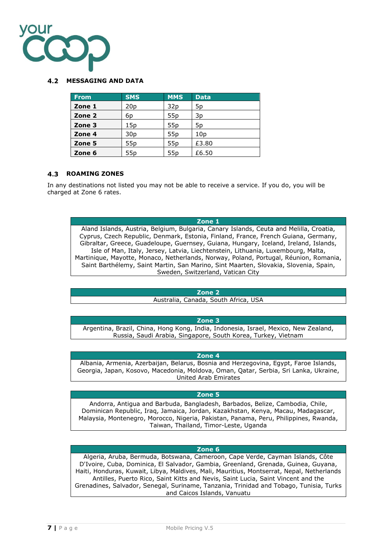

#### <span id="page-6-0"></span>**MESSAGING AND DATA**

| <b>From</b> | <b>SMS</b>      | <b>MMS</b>      | <b>Data</b>     |
|-------------|-----------------|-----------------|-----------------|
| Zone 1      | 20 <sub>p</sub> | 32 <sub>p</sub> | 5p              |
| Zone 2      | 6p              | 55p             | 3p              |
| Zone 3      | 15p             | 55p             | 5p              |
| Zone 4      | 30 <sub>p</sub> | 55p             | 10 <sub>p</sub> |
| Zone 5      | 55 <sub>p</sub> | 55p             | £3.80           |
| Zone 6      | 55 <sub>p</sub> | 55p             | £6.50           |

#### <span id="page-6-1"></span>**ROAMING ZONES**

In any destinations not listed you may not be able to receive a service. If you do, you will be charged at Zone 6 rates.

#### **Zone 1**

Aland Islands, Austria, Belgium, Bulgaria, Canary Islands, Ceuta and Melilla, Croatia, Cyprus, Czech Republic, Denmark, Estonia, Finland, France, French Guiana, Germany, Gibraltar, Greece, Guadeloupe, Guernsey, Guiana, Hungary, Iceland, Ireland, Islands, Isle of Man, Italy, Jersey, Latvia, Liechtenstein, Lithuania, Luxembourg, Malta, Martinique, Mayotte, Monaco, Netherlands, Norway, Poland, Portugal, Réunion, Romania, Saint Barthélemy, Saint Martin, San Marino, Sint Maarten, Slovakia, Slovenia, Spain, Sweden, Switzerland, Vatican City

#### **Zone 2**

Australia, Canada, South Africa, USA

#### **Zone 3**

Argentina, Brazil, China, Hong Kong, India, Indonesia, Israel, Mexico, New Zealand, Russia, Saudi Arabia, Singapore, South Korea, Turkey, Vietnam

#### **Zone 4**

Albania, Armenia, Azerbaijan, Belarus, Bosnia and Herzegovina, Egypt, Faroe Islands, Georgia, Japan, Kosovo, Macedonia, Moldova, Oman, Qatar, Serbia, Sri Lanka, Ukraine, United Arab Emirates

#### **Zone 5**

Andorra, Antigua and Barbuda, Bangladesh, Barbados, Belize, Cambodia, Chile, Dominican Republic, Iraq, Jamaica, Jordan, Kazakhstan, Kenya, Macau, Madagascar, Malaysia, Montenegro, Morocco, Nigeria, Pakistan, Panama, Peru, Philippines, Rwanda, Taiwan, Thailand, Timor-Leste, Uganda

#### **Zone 6**

Algeria, Aruba, Bermuda, Botswana, Cameroon, Cape Verde, Cayman Islands, Côte D'Ivoire, Cuba, Dominica, El Salvador, Gambia, Greenland, Grenada, Guinea, Guyana, Haiti, Honduras, Kuwait, Libya, Maldives, Mali, Mauritius, Montserrat, Nepal, Netherlands Antilles, Puerto Rico, Saint Kitts and Nevis, Saint Lucia, Saint Vincent and the Grenadines, Salvador, Senegal, Suriname, Tanzania, Trinidad and Tobago, Tunisia, Turks and Caicos Islands, Vanuatu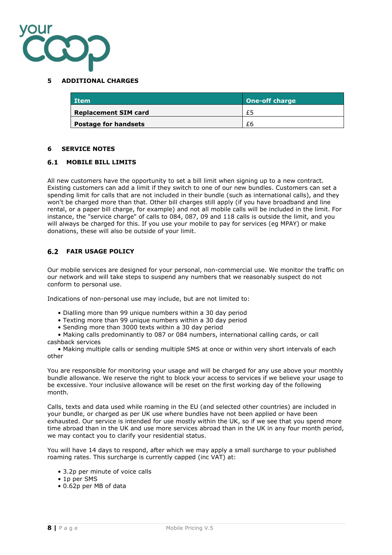

#### <span id="page-7-0"></span>**5 ADDITIONAL CHARGES**

| Item                        | <b>One-off charge</b> |
|-----------------------------|-----------------------|
| <b>Replacement SIM card</b> | £5                    |
| <b>Postage for handsets</b> | £6                    |

#### <span id="page-7-1"></span>**6 SERVICE NOTES**

#### <span id="page-7-2"></span>**MOBILE BILL LIMITS**

All new customers have the opportunity to set a bill limit when signing up to a new contract. Existing customers can add a limit if they switch to one of our new bundles. Customers can set a spending limit for calls that are not included in their bundle (such as international calls), and they won't be charged more than that. Other bill charges still apply (if you have broadband and line rental, or a paper bill charge, for example) and not all mobile calls will be included in the limit. For instance, the "service charge" of calls to 084, 087, 09 and 118 calls is outside the limit, and you will always be charged for this. If you use your mobile to pay for services (eg MPAY) or make donations, these will also be outside of your limit.

#### <span id="page-7-3"></span>**FAIR USAGE POLICY**

Our mobile services are designed for your personal, non-commercial use. We monitor the traffic on our network and will take steps to suspend any numbers that we reasonably suspect do not conform to personal use.

Indications of non-personal use may include, but are not limited to:

- Dialling more than 99 unique numbers within a 30 day period
- Texting more than 99 unique numbers within a 30 day period
- Sending more than 3000 texts within a 30 day period

 • Making calls predominantly to 087 or 084 numbers, international calling cards, or call cashback services

 • Making multiple calls or sending multiple SMS at once or within very short intervals of each other

You are responsible for monitoring your usage and will be charged for any use above your monthly bundle allowance. We reserve the right to block your access to services if we believe your usage to be excessive. Your inclusive allowance will be reset on the first working day of the following month.

Calls, texts and data used while roaming in the EU (and selected other countries) are included in your bundle, or charged as per UK use where bundles have not been applied or have been exhausted. Our service is intended for use mostly within the UK, so if we see that you spend more time abroad than in the UK and use more services abroad than in the UK in any four month period, we may contact you to clarify your residential status.

You will have 14 days to respond, after which we may apply a small surcharge to your published roaming rates. This surcharge is currently capped (inc VAT) at:

- 3.2p per minute of voice calls
- 1p per SMS
- 0.62p per MB of data